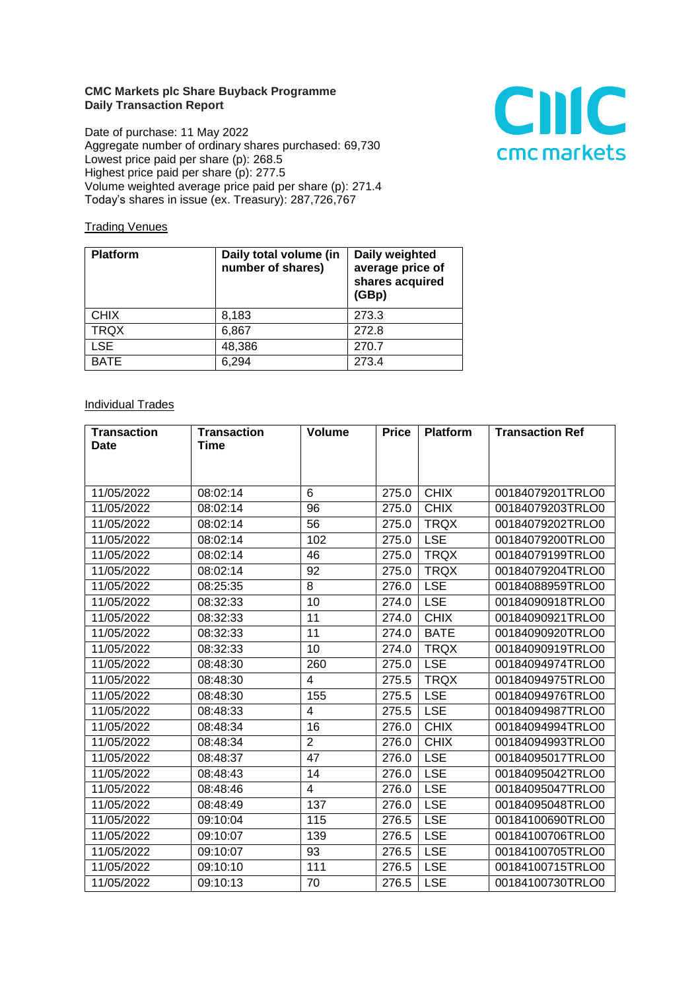## **CMC Markets plc Share Buyback Programme Daily Transaction Report**

Date of purchase: 11 May 2022 Aggregate number of ordinary shares purchased: 69,730 Lowest price paid per share (p): 268.5 Highest price paid per share (p): 277.5 Volume weighted average price paid per share (p): 271.4 Today's shares in issue (ex. Treasury): 287,726,767



## **Trading Venues**

| <b>Platform</b> | Daily total volume (in<br>number of shares) | Daily weighted<br>average price of<br>shares acquired<br>(GBp) |
|-----------------|---------------------------------------------|----------------------------------------------------------------|
| <b>CHIX</b>     | 8,183                                       | 273.3                                                          |
| <b>TRQX</b>     | 6,867                                       | 272.8                                                          |
| <b>LSE</b>      | 48,386                                      | 270.7                                                          |
| <b>BATE</b>     | 6,294                                       | 273.4                                                          |

## **Individual Trades**

| <b>Transaction</b> | <b>Transaction</b> | <b>Volume</b>  | <b>Price</b> | <b>Platform</b> | <b>Transaction Ref</b> |
|--------------------|--------------------|----------------|--------------|-----------------|------------------------|
| <b>Date</b>        | Time               |                |              |                 |                        |
|                    |                    |                |              |                 |                        |
|                    |                    |                |              |                 |                        |
| 11/05/2022         | 08:02:14           | 6              | 275.0        | <b>CHIX</b>     | 00184079201TRLO0       |
| 11/05/2022         | 08:02:14           | 96             | 275.0        | <b>CHIX</b>     | 00184079203TRLO0       |
| 11/05/2022         | 08:02:14           | 56             | 275.0        | <b>TRQX</b>     | 00184079202TRLO0       |
| 11/05/2022         | 08:02:14           | 102            | 275.0        | <b>LSE</b>      | 00184079200TRLO0       |
| 11/05/2022         | 08:02:14           | 46             | 275.0        | <b>TRQX</b>     | 00184079199TRLO0       |
| 11/05/2022         | 08:02:14           | 92             | 275.0        | <b>TRQX</b>     | 00184079204TRLO0       |
| 11/05/2022         | 08:25:35           | 8              | 276.0        | <b>LSE</b>      | 00184088959TRLO0       |
| 11/05/2022         | 08:32:33           | 10             | 274.0        | <b>LSE</b>      | 00184090918TRLO0       |
| 11/05/2022         | 08:32:33           | 11             | 274.0        | <b>CHIX</b>     | 00184090921TRLO0       |
| 11/05/2022         | 08:32:33           | 11             | 274.0        | <b>BATE</b>     | 00184090920TRLO0       |
| 11/05/2022         | 08:32:33           | 10             | 274.0        | <b>TRQX</b>     | 00184090919TRLO0       |
| 11/05/2022         | 08:48:30           | 260            | 275.0        | <b>LSE</b>      | 00184094974TRLO0       |
| 11/05/2022         | 08:48:30           | 4              | 275.5        | <b>TRQX</b>     | 00184094975TRLO0       |
| 11/05/2022         | 08:48:30           | 155            | 275.5        | <b>LSE</b>      | 00184094976TRLO0       |
| 11/05/2022         | 08:48:33           | 4              | 275.5        | <b>LSE</b>      | 00184094987TRLO0       |
| 11/05/2022         | 08:48:34           | 16             | 276.0        | <b>CHIX</b>     | 00184094994TRLO0       |
| 11/05/2022         | 08:48:34           | $\overline{2}$ | 276.0        | <b>CHIX</b>     | 00184094993TRLO0       |
| 11/05/2022         | 08:48:37           | 47             | 276.0        | <b>LSE</b>      | 00184095017TRLO0       |
| 11/05/2022         | 08:48:43           | 14             | 276.0        | <b>LSE</b>      | 00184095042TRLO0       |
| 11/05/2022         | 08:48:46           | 4              | 276.0        | <b>LSE</b>      | 00184095047TRLO0       |
| 11/05/2022         | 08:48:49           | 137            | 276.0        | <b>LSE</b>      | 00184095048TRLO0       |
| 11/05/2022         | 09:10:04           | 115            | 276.5        | <b>LSE</b>      | 00184100690TRLO0       |
| 11/05/2022         | 09:10:07           | 139            | 276.5        | <b>LSE</b>      | 00184100706TRLO0       |
| 11/05/2022         | 09:10:07           | 93             | 276.5        | <b>LSE</b>      | 00184100705TRLO0       |
| 11/05/2022         | 09:10:10           | 111            | 276.5        | <b>LSE</b>      | 00184100715TRLO0       |
| 11/05/2022         | 09:10:13           | 70             | 276.5        | <b>LSE</b>      | 00184100730TRLO0       |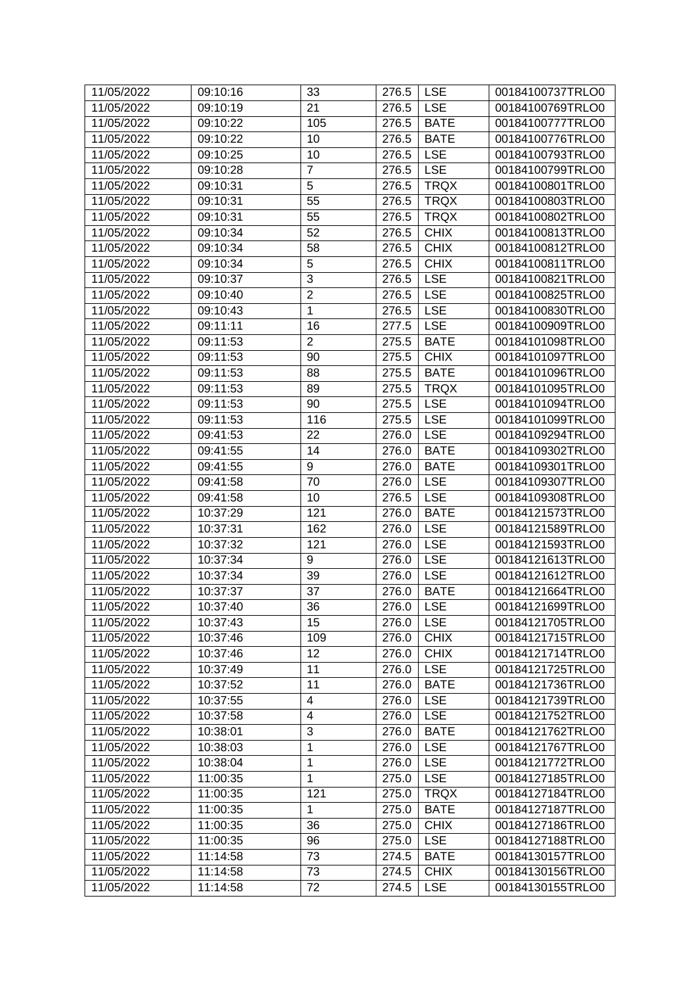| 11/05/2022 | 09:10:16 | 33                      | 276.5 | <b>LSE</b>  | 00184100737TRLO0 |
|------------|----------|-------------------------|-------|-------------|------------------|
| 11/05/2022 | 09:10:19 | 21                      | 276.5 | <b>LSE</b>  | 00184100769TRLO0 |
| 11/05/2022 | 09:10:22 | 105                     | 276.5 | <b>BATE</b> | 00184100777TRLO0 |
| 11/05/2022 | 09:10:22 | 10                      | 276.5 | <b>BATE</b> | 00184100776TRLO0 |
| 11/05/2022 | 09:10:25 | 10                      | 276.5 | <b>LSE</b>  | 00184100793TRLO0 |
| 11/05/2022 | 09:10:28 | $\overline{7}$          | 276.5 | <b>LSE</b>  | 00184100799TRLO0 |
| 11/05/2022 | 09:10:31 | 5                       | 276.5 | <b>TRQX</b> | 00184100801TRLO0 |
| 11/05/2022 | 09:10:31 | 55                      | 276.5 | <b>TRQX</b> | 00184100803TRLO0 |
| 11/05/2022 | 09:10:31 | 55                      | 276.5 | <b>TRQX</b> | 00184100802TRLO0 |
| 11/05/2022 | 09:10:34 | 52                      | 276.5 | <b>CHIX</b> | 00184100813TRLO0 |
| 11/05/2022 | 09:10:34 | 58                      | 276.5 | <b>CHIX</b> | 00184100812TRLO0 |
| 11/05/2022 | 09:10:34 | 5                       | 276.5 | <b>CHIX</b> | 00184100811TRLO0 |
| 11/05/2022 | 09:10:37 | $\overline{3}$          | 276.5 | <b>LSE</b>  | 00184100821TRLO0 |
| 11/05/2022 | 09:10:40 | $\overline{2}$          | 276.5 | <b>LSE</b>  | 00184100825TRLO0 |
| 11/05/2022 | 09:10:43 | $\mathbf{1}$            | 276.5 | <b>LSE</b>  | 00184100830TRLO0 |
| 11/05/2022 | 09:11:11 | 16                      | 277.5 | <b>LSE</b>  | 00184100909TRLO0 |
| 11/05/2022 | 09:11:53 | $\overline{2}$          | 275.5 | <b>BATE</b> | 00184101098TRLO0 |
| 11/05/2022 | 09:11:53 | 90                      | 275.5 | <b>CHIX</b> | 00184101097TRLO0 |
| 11/05/2022 | 09:11:53 | 88                      | 275.5 | <b>BATE</b> | 00184101096TRLO0 |
| 11/05/2022 | 09:11:53 | 89                      | 275.5 | <b>TRQX</b> | 00184101095TRLO0 |
| 11/05/2022 | 09:11:53 | 90                      | 275.5 | <b>LSE</b>  | 00184101094TRLO0 |
| 11/05/2022 | 09:11:53 | 116                     | 275.5 | <b>LSE</b>  | 00184101099TRLO0 |
| 11/05/2022 | 09:41:53 | 22                      | 276.0 | <b>LSE</b>  | 00184109294TRLO0 |
| 11/05/2022 | 09:41:55 | 14                      | 276.0 | <b>BATE</b> | 00184109302TRLO0 |
| 11/05/2022 | 09:41:55 | 9                       | 276.0 | <b>BATE</b> | 00184109301TRLO0 |
| 11/05/2022 | 09:41:58 | 70                      | 276.0 | <b>LSE</b>  | 00184109307TRLO0 |
| 11/05/2022 | 09:41:58 | 10                      | 276.5 | <b>LSE</b>  | 00184109308TRLO0 |
| 11/05/2022 | 10:37:29 | 121                     | 276.0 | <b>BATE</b> | 00184121573TRLO0 |
| 11/05/2022 | 10:37:31 | 162                     | 276.0 | <b>LSE</b>  | 00184121589TRLO0 |
| 11/05/2022 | 10:37:32 | 121                     | 276.0 | <b>LSE</b>  | 00184121593TRLO0 |
| 11/05/2022 | 10:37:34 | 9                       | 276.0 | <b>LSE</b>  | 00184121613TRLO0 |
| 11/05/2022 | 10:37:34 | 39                      | 276.0 | <b>LSE</b>  | 00184121612TRLO0 |
| 11/05/2022 | 10:37:37 | 37                      | 276.0 | <b>BATE</b> | 00184121664TRLO0 |
| 11/05/2022 | 10:37:40 | 36                      | 276.0 | <b>LSE</b>  | 00184121699TRLO0 |
| 11/05/2022 | 10:37:43 | 15                      | 276.0 | <b>LSE</b>  | 00184121705TRLO0 |
| 11/05/2022 | 10:37:46 | 109                     | 276.0 | <b>CHIX</b> | 00184121715TRLO0 |
| 11/05/2022 | 10:37:46 | 12                      | 276.0 | <b>CHIX</b> | 00184121714TRLO0 |
| 11/05/2022 | 10:37:49 | 11                      | 276.0 | <b>LSE</b>  | 00184121725TRLO0 |
| 11/05/2022 | 10:37:52 | 11                      | 276.0 | <b>BATE</b> | 00184121736TRLO0 |
| 11/05/2022 | 10:37:55 | 4                       | 276.0 | <b>LSE</b>  | 00184121739TRLO0 |
| 11/05/2022 | 10:37:58 | $\overline{\mathbf{4}}$ | 276.0 | <b>LSE</b>  | 00184121752TRLO0 |
| 11/05/2022 | 10:38:01 | 3                       | 276.0 | <b>BATE</b> | 00184121762TRLO0 |
| 11/05/2022 | 10:38:03 | $\mathbf 1$             | 276.0 | <b>LSE</b>  | 00184121767TRLO0 |
| 11/05/2022 | 10:38:04 | $\mathbf{1}$            | 276.0 | <b>LSE</b>  | 00184121772TRLO0 |
| 11/05/2022 | 11:00:35 | $\mathbf{1}$            | 275.0 | <b>LSE</b>  | 00184127185TRLO0 |
| 11/05/2022 | 11:00:35 | 121                     | 275.0 | <b>TRQX</b> | 00184127184TRLO0 |
| 11/05/2022 | 11:00:35 | $\mathbf{1}$            | 275.0 | <b>BATE</b> | 00184127187TRLO0 |
| 11/05/2022 | 11:00:35 | 36                      | 275.0 | <b>CHIX</b> | 00184127186TRLO0 |
| 11/05/2022 | 11:00:35 | 96                      | 275.0 | <b>LSE</b>  | 00184127188TRLO0 |
| 11/05/2022 | 11:14:58 | 73                      | 274.5 | <b>BATE</b> | 00184130157TRLO0 |
| 11/05/2022 | 11:14:58 | 73                      | 274.5 | <b>CHIX</b> | 00184130156TRLO0 |
| 11/05/2022 | 11:14:58 | 72                      | 274.5 | <b>LSE</b>  | 00184130155TRLO0 |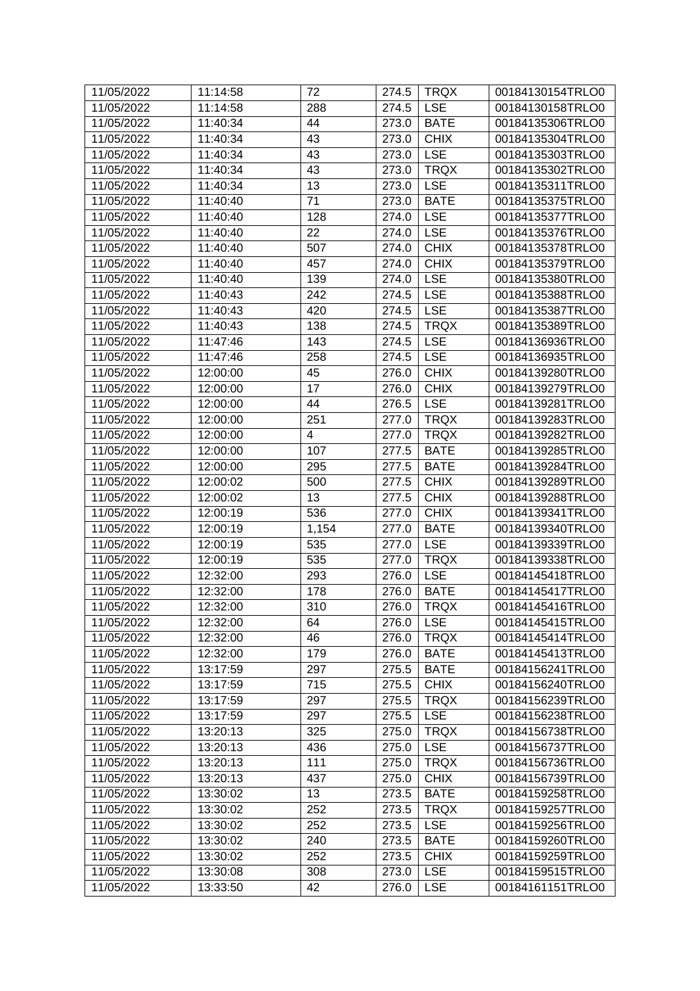| 11/05/2022 | 11:14:58 | 72                      | 274.5 | <b>TRQX</b> | 00184130154TRLO0 |
|------------|----------|-------------------------|-------|-------------|------------------|
| 11/05/2022 | 11:14:58 | 288                     | 274.5 | <b>LSE</b>  | 00184130158TRLO0 |
| 11/05/2022 | 11:40:34 | 44                      | 273.0 | <b>BATE</b> | 00184135306TRLO0 |
| 11/05/2022 | 11:40:34 | 43                      | 273.0 | <b>CHIX</b> | 00184135304TRLO0 |
| 11/05/2022 | 11:40:34 | 43                      | 273.0 | <b>LSE</b>  | 00184135303TRLO0 |
| 11/05/2022 | 11:40:34 | 43                      | 273.0 | <b>TRQX</b> | 00184135302TRLO0 |
| 11/05/2022 | 11:40:34 | 13                      | 273.0 | <b>LSE</b>  | 00184135311TRLO0 |
| 11/05/2022 | 11:40:40 | 71                      | 273.0 | <b>BATE</b> | 00184135375TRLO0 |
| 11/05/2022 | 11:40:40 | 128                     | 274.0 | <b>LSE</b>  | 00184135377TRLO0 |
| 11/05/2022 | 11:40:40 | 22                      | 274.0 | <b>LSE</b>  | 00184135376TRLO0 |
| 11/05/2022 | 11:40:40 | 507                     | 274.0 | <b>CHIX</b> | 00184135378TRLO0 |
| 11/05/2022 | 11:40:40 | 457                     | 274.0 | <b>CHIX</b> | 00184135379TRLO0 |
| 11/05/2022 | 11:40:40 | 139                     | 274.0 | <b>LSE</b>  | 00184135380TRLO0 |
| 11/05/2022 | 11:40:43 | 242                     | 274.5 | <b>LSE</b>  | 00184135388TRLO0 |
| 11/05/2022 | 11:40:43 | 420                     | 274.5 | <b>LSE</b>  | 00184135387TRLO0 |
| 11/05/2022 | 11:40:43 | 138                     | 274.5 | <b>TRQX</b> | 00184135389TRLO0 |
| 11/05/2022 | 11:47:46 | 143                     | 274.5 | <b>LSE</b>  | 00184136936TRLO0 |
| 11/05/2022 | 11:47:46 | 258                     | 274.5 | <b>LSE</b>  | 00184136935TRLO0 |
| 11/05/2022 | 12:00:00 | 45                      | 276.0 | <b>CHIX</b> | 00184139280TRLO0 |
| 11/05/2022 | 12:00:00 | 17                      | 276.0 | <b>CHIX</b> | 00184139279TRLO0 |
| 11/05/2022 | 12:00:00 | 44                      | 276.5 | <b>LSE</b>  | 00184139281TRLO0 |
| 11/05/2022 | 12:00:00 | 251                     | 277.0 | <b>TRQX</b> | 00184139283TRLO0 |
| 11/05/2022 | 12:00:00 | $\overline{\mathbf{4}}$ | 277.0 | <b>TRQX</b> | 00184139282TRLO0 |
| 11/05/2022 | 12:00:00 | 107                     | 277.5 | <b>BATE</b> | 00184139285TRLO0 |
| 11/05/2022 | 12:00:00 | 295                     | 277.5 | <b>BATE</b> | 00184139284TRLO0 |
| 11/05/2022 | 12:00:02 | 500                     | 277.5 | <b>CHIX</b> | 00184139289TRLO0 |
| 11/05/2022 | 12:00:02 | 13                      | 277.5 | <b>CHIX</b> | 00184139288TRLO0 |
| 11/05/2022 | 12:00:19 | 536                     | 277.0 | <b>CHIX</b> | 00184139341TRLO0 |
| 11/05/2022 | 12:00:19 | 1,154                   | 277.0 | <b>BATE</b> | 00184139340TRLO0 |
| 11/05/2022 | 12:00:19 | 535                     | 277.0 | <b>LSE</b>  | 00184139339TRLO0 |
| 11/05/2022 | 12:00:19 | 535                     | 277.0 | <b>TRQX</b> | 00184139338TRLO0 |
| 11/05/2022 | 12:32:00 | 293                     | 276.0 | <b>LSE</b>  | 00184145418TRLO0 |
| 11/05/2022 | 12:32:00 | 178                     | 276.0 | <b>BATE</b> | 00184145417TRLO0 |
| 11/05/2022 | 12:32:00 | 310                     | 276.0 | <b>TRQX</b> | 00184145416TRLO0 |
| 11/05/2022 | 12:32:00 | 64                      | 276.0 | <b>LSE</b>  | 00184145415TRLO0 |
| 11/05/2022 | 12:32:00 | 46                      | 276.0 | <b>TRQX</b> | 00184145414TRLO0 |
| 11/05/2022 | 12:32:00 | 179                     | 276.0 | <b>BATE</b> | 00184145413TRLO0 |
| 11/05/2022 | 13:17:59 | 297                     | 275.5 | <b>BATE</b> | 00184156241TRLO0 |
| 11/05/2022 | 13:17:59 | 715                     | 275.5 | <b>CHIX</b> | 00184156240TRLO0 |
| 11/05/2022 | 13:17:59 | 297                     | 275.5 | <b>TRQX</b> | 00184156239TRLO0 |
| 11/05/2022 | 13:17:59 | 297                     | 275.5 | <b>LSE</b>  | 00184156238TRLO0 |
| 11/05/2022 | 13:20:13 | 325                     | 275.0 | <b>TRQX</b> | 00184156738TRLO0 |
| 11/05/2022 | 13:20:13 | 436                     | 275.0 | <b>LSE</b>  | 00184156737TRLO0 |
| 11/05/2022 | 13:20:13 | 111                     | 275.0 | <b>TRQX</b> | 00184156736TRLO0 |
| 11/05/2022 | 13:20:13 | 437                     | 275.0 | <b>CHIX</b> | 00184156739TRLO0 |
| 11/05/2022 | 13:30:02 | 13                      | 273.5 | <b>BATE</b> | 00184159258TRLO0 |
| 11/05/2022 | 13:30:02 | 252                     | 273.5 | <b>TRQX</b> | 00184159257TRLO0 |
| 11/05/2022 | 13:30:02 | 252                     | 273.5 | <b>LSE</b>  | 00184159256TRLO0 |
| 11/05/2022 | 13:30:02 | 240                     | 273.5 | <b>BATE</b> | 00184159260TRLO0 |
| 11/05/2022 | 13:30:02 | 252                     | 273.5 | <b>CHIX</b> | 00184159259TRLO0 |
| 11/05/2022 | 13:30:08 | 308                     | 273.0 | <b>LSE</b>  | 00184159515TRLO0 |
| 11/05/2022 | 13:33:50 | 42                      | 276.0 | <b>LSE</b>  | 00184161151TRLO0 |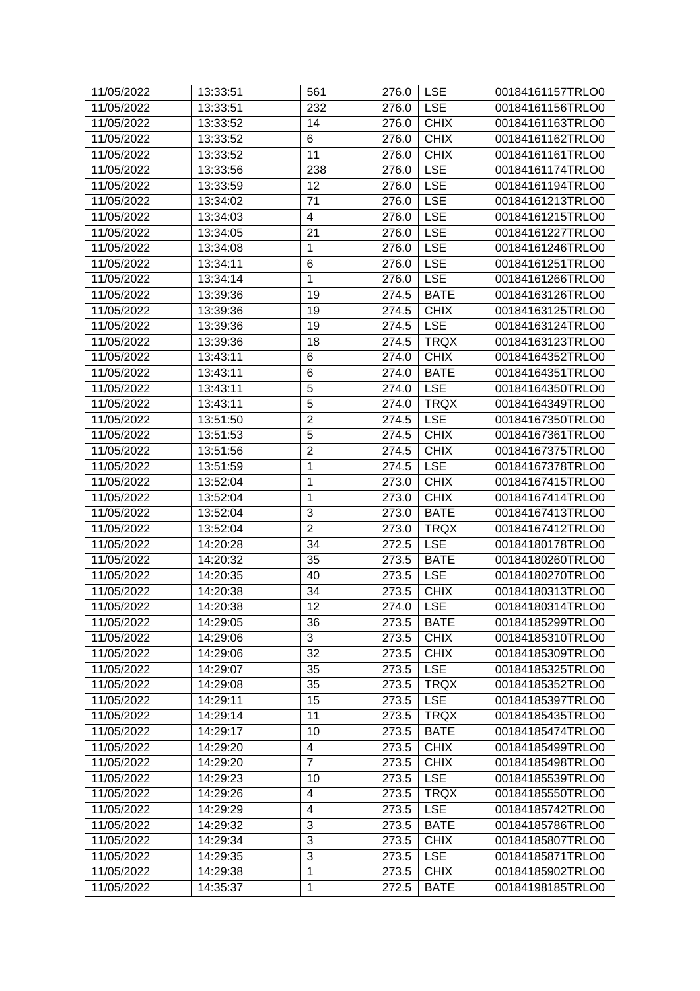| 11/05/2022 | 13:33:51 | 561                      | 276.0 | <b>LSE</b>  | 00184161157TRLO0 |
|------------|----------|--------------------------|-------|-------------|------------------|
| 11/05/2022 | 13:33:51 | 232                      | 276.0 | <b>LSE</b>  | 00184161156TRLO0 |
| 11/05/2022 | 13:33:52 | 14                       | 276.0 | <b>CHIX</b> | 00184161163TRLO0 |
| 11/05/2022 | 13:33:52 | 6                        | 276.0 | <b>CHIX</b> | 00184161162TRLO0 |
| 11/05/2022 | 13:33:52 | 11                       | 276.0 | <b>CHIX</b> | 00184161161TRLO0 |
| 11/05/2022 | 13:33:56 | 238                      | 276.0 | <b>LSE</b>  | 00184161174TRLO0 |
| 11/05/2022 | 13:33:59 | 12                       | 276.0 | <b>LSE</b>  | 00184161194TRLO0 |
| 11/05/2022 | 13:34:02 | 71                       | 276.0 | <b>LSE</b>  | 00184161213TRLO0 |
| 11/05/2022 | 13:34:03 | $\overline{\mathbf{4}}$  | 276.0 | <b>LSE</b>  | 00184161215TRLO0 |
| 11/05/2022 | 13:34:05 | 21                       | 276.0 | <b>LSE</b>  | 00184161227TRLO0 |
| 11/05/2022 | 13:34:08 | $\mathbf 1$              | 276.0 | <b>LSE</b>  | 00184161246TRLO0 |
| 11/05/2022 | 13:34:11 | $\,6$                    | 276.0 | <b>LSE</b>  | 00184161251TRLO0 |
| 11/05/2022 | 13:34:14 | $\mathbf{1}$             | 276.0 | <b>LSE</b>  | 00184161266TRLO0 |
| 11/05/2022 | 13:39:36 | 19                       | 274.5 | <b>BATE</b> | 00184163126TRLO0 |
| 11/05/2022 | 13:39:36 | 19                       | 274.5 | <b>CHIX</b> | 00184163125TRLO0 |
| 11/05/2022 | 13:39:36 | 19                       | 274.5 | <b>LSE</b>  | 00184163124TRLO0 |
| 11/05/2022 | 13:39:36 | 18                       | 274.5 | <b>TRQX</b> | 00184163123TRLO0 |
| 11/05/2022 | 13:43:11 | 6                        | 274.0 | <b>CHIX</b> | 00184164352TRLO0 |
| 11/05/2022 | 13:43:11 | $\,6$                    | 274.0 | <b>BATE</b> | 00184164351TRLO0 |
| 11/05/2022 | 13:43:11 | 5                        | 274.0 | <b>LSE</b>  | 00184164350TRLO0 |
| 11/05/2022 | 13:43:11 | 5                        | 274.0 | <b>TRQX</b> | 00184164349TRLO0 |
| 11/05/2022 | 13:51:50 | $\overline{2}$           | 274.5 | <b>LSE</b>  | 00184167350TRLO0 |
| 11/05/2022 | 13:51:53 | 5                        | 274.5 | <b>CHIX</b> | 00184167361TRLO0 |
| 11/05/2022 | 13:51:56 | $\overline{c}$           | 274.5 | <b>CHIX</b> | 00184167375TRLO0 |
| 11/05/2022 | 13:51:59 | $\mathbf 1$              | 274.5 | <b>LSE</b>  | 00184167378TRLO0 |
| 11/05/2022 | 13:52:04 | $\mathbf 1$              | 273.0 | <b>CHIX</b> | 00184167415TRLO0 |
| 11/05/2022 | 13:52:04 | $\mathbf{1}$             | 273.0 | <b>CHIX</b> | 00184167414TRLO0 |
| 11/05/2022 | 13:52:04 | 3                        | 273.0 | <b>BATE</b> | 00184167413TRLO0 |
| 11/05/2022 | 13:52:04 | $\overline{2}$           | 273.0 | <b>TRQX</b> | 00184167412TRLO0 |
| 11/05/2022 | 14:20:28 | 34                       | 272.5 | <b>LSE</b>  | 00184180178TRLO0 |
| 11/05/2022 | 14:20:32 | 35                       | 273.5 | <b>BATE</b> | 00184180260TRLO0 |
| 11/05/2022 | 14:20:35 | 40                       | 273.5 | <b>LSE</b>  | 00184180270TRLO0 |
| 11/05/2022 | 14:20:38 | 34                       | 273.5 | <b>CHIX</b> | 00184180313TRLO0 |
| 11/05/2022 | 14:20:38 | 12                       | 274.0 | <b>LSE</b>  | 00184180314TRLO0 |
| 11/05/2022 | 14:29:05 | 36                       | 273.5 | <b>BATE</b> | 00184185299TRLO0 |
| 11/05/2022 | 14:29:06 | 3                        | 273.5 | <b>CHIX</b> | 00184185310TRLO0 |
| 11/05/2022 | 14:29:06 | 32                       | 273.5 | <b>CHIX</b> | 00184185309TRLO0 |
| 11/05/2022 | 14:29:07 | 35                       | 273.5 | <b>LSE</b>  | 00184185325TRLO0 |
| 11/05/2022 | 14:29:08 | 35                       | 273.5 | <b>TRQX</b> | 00184185352TRLO0 |
| 11/05/2022 | 14:29:11 | 15                       | 273.5 | <b>LSE</b>  | 00184185397TRLO0 |
| 11/05/2022 | 14:29:14 | 11                       | 273.5 | <b>TRQX</b> | 00184185435TRLO0 |
| 11/05/2022 |          | 10                       |       | <b>BATE</b> | 00184185474TRLO0 |
|            | 14:29:17 |                          | 273.5 |             |                  |
| 11/05/2022 | 14:29:20 | 4<br>$\overline{7}$      | 273.5 | <b>CHIX</b> | 00184185499TRLO0 |
| 11/05/2022 | 14:29:20 |                          | 273.5 | <b>CHIX</b> | 00184185498TRLO0 |
| 11/05/2022 | 14:29:23 | 10                       | 273.5 | <b>LSE</b>  | 00184185539TRLO0 |
| 11/05/2022 | 14:29:26 | $\overline{\mathcal{A}}$ | 273.5 | <b>TRQX</b> | 00184185550TRLO0 |
| 11/05/2022 | 14:29:29 | $\overline{\mathbf{4}}$  | 273.5 | <b>LSE</b>  | 00184185742TRLO0 |
| 11/05/2022 | 14:29:32 | 3                        | 273.5 | <b>BATE</b> | 00184185786TRLO0 |
| 11/05/2022 | 14:29:34 | 3                        | 273.5 | <b>CHIX</b> | 00184185807TRLO0 |
| 11/05/2022 | 14:29:35 | 3                        | 273.5 | <b>LSE</b>  | 00184185871TRLO0 |
| 11/05/2022 | 14:29:38 | $\mathbf{1}$             | 273.5 | <b>CHIX</b> | 00184185902TRLO0 |
| 11/05/2022 | 14:35:37 | $\mathbf{1}$             | 272.5 | <b>BATE</b> | 00184198185TRLO0 |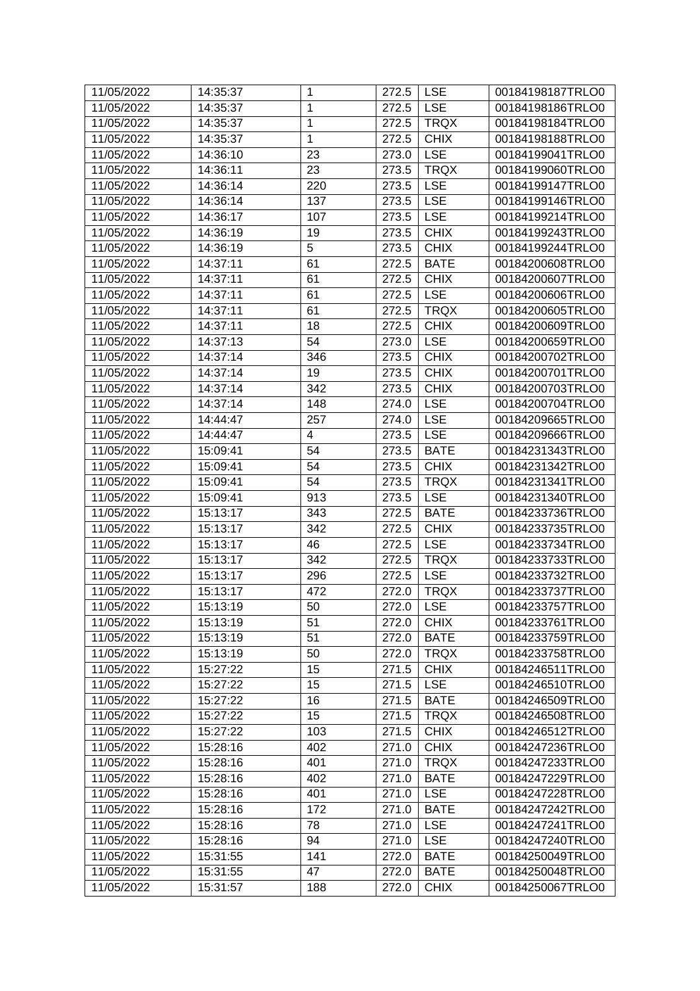| 11/05/2022 | 14:35:37 | $\mathbf{1}$ | 272.5 | <b>LSE</b>  | 00184198187TRLO0 |
|------------|----------|--------------|-------|-------------|------------------|
| 11/05/2022 | 14:35:37 | $\mathbf{1}$ | 272.5 | <b>LSE</b>  | 00184198186TRLO0 |
| 11/05/2022 | 14:35:37 | $\mathbf 1$  | 272.5 | <b>TRQX</b> | 00184198184TRLO0 |
| 11/05/2022 | 14:35:37 | $\mathbf{1}$ | 272.5 | <b>CHIX</b> | 00184198188TRLO0 |
| 11/05/2022 | 14:36:10 | 23           | 273.0 | <b>LSE</b>  | 00184199041TRLO0 |
| 11/05/2022 | 14:36:11 | 23           | 273.5 | <b>TRQX</b> | 00184199060TRLO0 |
| 11/05/2022 | 14:36:14 | 220          | 273.5 | <b>LSE</b>  | 00184199147TRLO0 |
| 11/05/2022 | 14:36:14 | 137          | 273.5 | <b>LSE</b>  | 00184199146TRLO0 |
| 11/05/2022 | 14:36:17 | 107          | 273.5 | <b>LSE</b>  | 00184199214TRLO0 |
| 11/05/2022 | 14:36:19 | 19           | 273.5 | <b>CHIX</b> | 00184199243TRLO0 |
| 11/05/2022 | 14:36:19 | 5            | 273.5 | <b>CHIX</b> | 00184199244TRLO0 |
| 11/05/2022 | 14:37:11 | 61           | 272.5 | <b>BATE</b> | 00184200608TRLO0 |
| 11/05/2022 | 14:37:11 | 61           | 272.5 | <b>CHIX</b> | 00184200607TRLO0 |
| 11/05/2022 | 14:37:11 | 61           | 272.5 | <b>LSE</b>  | 00184200606TRLO0 |
| 11/05/2022 | 14:37:11 | 61           | 272.5 | <b>TRQX</b> | 00184200605TRLO0 |
| 11/05/2022 | 14:37:11 | 18           | 272.5 | <b>CHIX</b> | 00184200609TRLO0 |
| 11/05/2022 | 14:37:13 | 54           | 273.0 | <b>LSE</b>  | 00184200659TRLO0 |
| 11/05/2022 | 14:37:14 | 346          | 273.5 | <b>CHIX</b> | 00184200702TRLO0 |
| 11/05/2022 | 14:37:14 | 19           | 273.5 | <b>CHIX</b> | 00184200701TRLO0 |
| 11/05/2022 | 14:37:14 | 342          | 273.5 | <b>CHIX</b> | 00184200703TRLO0 |
| 11/05/2022 | 14:37:14 | 148          | 274.0 | <b>LSE</b>  | 00184200704TRLO0 |
| 11/05/2022 | 14:44:47 | 257          | 274.0 | <b>LSE</b>  | 00184209665TRLO0 |
| 11/05/2022 | 14:44:47 | 4            | 273.5 | <b>LSE</b>  | 00184209666TRLO0 |
| 11/05/2022 | 15:09:41 | 54           | 273.5 | <b>BATE</b> | 00184231343TRLO0 |
| 11/05/2022 | 15:09:41 | 54           | 273.5 | <b>CHIX</b> | 00184231342TRLO0 |
| 11/05/2022 | 15:09:41 | 54           | 273.5 | <b>TRQX</b> | 00184231341TRLO0 |
| 11/05/2022 | 15:09:41 | 913          | 273.5 | <b>LSE</b>  | 00184231340TRLO0 |
| 11/05/2022 | 15:13:17 | 343          | 272.5 | <b>BATE</b> | 00184233736TRLO0 |
| 11/05/2022 | 15:13:17 | 342          | 272.5 | <b>CHIX</b> | 00184233735TRLO0 |
| 11/05/2022 | 15:13:17 | 46           | 272.5 | <b>LSE</b>  | 00184233734TRLO0 |
| 11/05/2022 | 15:13:17 | 342          | 272.5 | <b>TRQX</b> | 00184233733TRLO0 |
| 11/05/2022 | 15:13:17 | 296          | 272.5 | <b>LSE</b>  | 00184233732TRLO0 |
| 11/05/2022 | 15:13:17 | 472          | 272.0 | <b>TRQX</b> | 00184233737TRLO0 |
| 11/05/2022 | 15:13:19 | 50           | 272.0 | <b>LSE</b>  | 00184233757TRLO0 |
| 11/05/2022 | 15:13:19 | 51           | 272.0 | <b>CHIX</b> | 00184233761TRLO0 |
| 11/05/2022 | 15:13:19 | 51           | 272.0 | <b>BATE</b> | 00184233759TRLO0 |
| 11/05/2022 | 15:13:19 | 50           | 272.0 | <b>TRQX</b> | 00184233758TRLO0 |
| 11/05/2022 | 15:27:22 | 15           | 271.5 | <b>CHIX</b> | 00184246511TRLO0 |
| 11/05/2022 | 15:27:22 | 15           | 271.5 | <b>LSE</b>  | 00184246510TRLO0 |
| 11/05/2022 | 15:27:22 | 16           | 271.5 | <b>BATE</b> | 00184246509TRLO0 |
| 11/05/2022 | 15:27:22 | 15           | 271.5 | <b>TRQX</b> | 00184246508TRLO0 |
| 11/05/2022 | 15:27:22 | 103          | 271.5 | <b>CHIX</b> | 00184246512TRLO0 |
| 11/05/2022 | 15:28:16 | 402          | 271.0 | <b>CHIX</b> | 00184247236TRLO0 |
| 11/05/2022 | 15:28:16 | 401          | 271.0 | <b>TRQX</b> | 00184247233TRLO0 |
| 11/05/2022 | 15:28:16 | 402          | 271.0 | <b>BATE</b> | 00184247229TRLO0 |
| 11/05/2022 | 15:28:16 | 401          | 271.0 | <b>LSE</b>  | 00184247228TRLO0 |
| 11/05/2022 | 15:28:16 | 172          | 271.0 | <b>BATE</b> | 00184247242TRLO0 |
| 11/05/2022 | 15:28:16 | 78           | 271.0 | <b>LSE</b>  | 00184247241TRLO0 |
| 11/05/2022 | 15:28:16 | 94           | 271.0 | <b>LSE</b>  | 00184247240TRLO0 |
| 11/05/2022 | 15:31:55 | 141          | 272.0 | <b>BATE</b> | 00184250049TRLO0 |
| 11/05/2022 | 15:31:55 | 47           | 272.0 | <b>BATE</b> | 00184250048TRLO0 |
| 11/05/2022 | 15:31:57 | 188          | 272.0 | <b>CHIX</b> | 00184250067TRLO0 |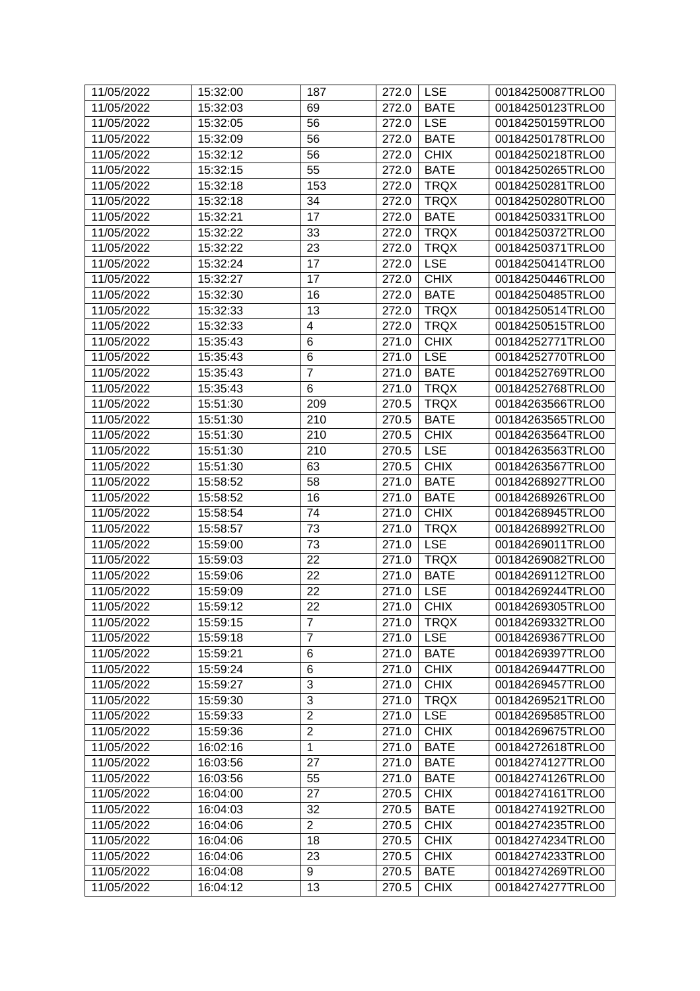| 11/05/2022 | 15:32:00 | 187            | 272.0 | <b>LSE</b>  | 00184250087TRLO0 |
|------------|----------|----------------|-------|-------------|------------------|
| 11/05/2022 | 15:32:03 | 69             | 272.0 | <b>BATE</b> | 00184250123TRLO0 |
| 11/05/2022 | 15:32:05 | 56             | 272.0 | <b>LSE</b>  | 00184250159TRLO0 |
| 11/05/2022 | 15:32:09 | 56             | 272.0 | <b>BATE</b> | 00184250178TRLO0 |
| 11/05/2022 | 15:32:12 | 56             | 272.0 | <b>CHIX</b> | 00184250218TRLO0 |
| 11/05/2022 | 15:32:15 | 55             | 272.0 | <b>BATE</b> | 00184250265TRLO0 |
| 11/05/2022 | 15:32:18 | 153            | 272.0 | <b>TRQX</b> | 00184250281TRLO0 |
| 11/05/2022 | 15:32:18 | 34             | 272.0 | <b>TRQX</b> | 00184250280TRLO0 |
| 11/05/2022 | 15:32:21 | 17             | 272.0 | <b>BATE</b> | 00184250331TRLO0 |
| 11/05/2022 | 15:32:22 | 33             | 272.0 | <b>TRQX</b> | 00184250372TRLO0 |
| 11/05/2022 | 15:32:22 | 23             | 272.0 | <b>TRQX</b> | 00184250371TRLO0 |
| 11/05/2022 | 15:32:24 | 17             | 272.0 | <b>LSE</b>  | 00184250414TRLO0 |
| 11/05/2022 | 15:32:27 | 17             | 272.0 | <b>CHIX</b> | 00184250446TRLO0 |
| 11/05/2022 | 15:32:30 | 16             | 272.0 | <b>BATE</b> | 00184250485TRLO0 |
| 11/05/2022 | 15:32:33 | 13             | 272.0 | <b>TRQX</b> | 00184250514TRLO0 |
| 11/05/2022 | 15:32:33 | 4              | 272.0 | <b>TRQX</b> | 00184250515TRLO0 |
| 11/05/2022 | 15:35:43 | $\,6$          | 271.0 | <b>CHIX</b> | 00184252771TRLO0 |
| 11/05/2022 | 15:35:43 | $\,6$          | 271.0 | <b>LSE</b>  | 00184252770TRLO0 |
| 11/05/2022 | 15:35:43 | $\overline{7}$ | 271.0 | <b>BATE</b> | 00184252769TRLO0 |
| 11/05/2022 | 15:35:43 | 6              | 271.0 | <b>TRQX</b> | 00184252768TRLO0 |
| 11/05/2022 | 15:51:30 | 209            | 270.5 | <b>TRQX</b> | 00184263566TRLO0 |
| 11/05/2022 | 15:51:30 | 210            | 270.5 | <b>BATE</b> | 00184263565TRLO0 |
| 11/05/2022 | 15:51:30 | 210            | 270.5 | <b>CHIX</b> | 00184263564TRLO0 |
| 11/05/2022 | 15:51:30 | 210            | 270.5 | <b>LSE</b>  | 00184263563TRLO0 |
| 11/05/2022 | 15:51:30 | 63             | 270.5 | <b>CHIX</b> | 00184263567TRLO0 |
| 11/05/2022 | 15:58:52 | 58             | 271.0 | <b>BATE</b> | 00184268927TRLO0 |
| 11/05/2022 | 15:58:52 | 16             | 271.0 | <b>BATE</b> | 00184268926TRLO0 |
| 11/05/2022 | 15:58:54 | 74             | 271.0 | <b>CHIX</b> | 00184268945TRLO0 |
| 11/05/2022 | 15:58:57 | 73             | 271.0 | <b>TRQX</b> | 00184268992TRLO0 |
| 11/05/2022 | 15:59:00 | 73             | 271.0 | <b>LSE</b>  | 00184269011TRLO0 |
| 11/05/2022 | 15:59:03 | 22             | 271.0 | <b>TRQX</b> | 00184269082TRLO0 |
| 11/05/2022 | 15:59:06 | 22             | 271.0 | <b>BATE</b> | 00184269112TRLO0 |
| 11/05/2022 | 15:59:09 | 22             | 271.0 | <b>LSE</b>  | 00184269244TRLO0 |
| 11/05/2022 | 15:59:12 | 22             | 271.0 | <b>CHIX</b> | 00184269305TRLO0 |
| 11/05/2022 | 15:59:15 | $\overline{7}$ | 271.0 | <b>TRQX</b> | 00184269332TRLO0 |
| 11/05/2022 | 15:59:18 | $\overline{7}$ | 271.0 | <b>LSE</b>  | 00184269367TRLO0 |
| 11/05/2022 | 15:59:21 | $\,6$          | 271.0 | <b>BATE</b> | 00184269397TRLO0 |
| 11/05/2022 | 15:59:24 | $\,6$          | 271.0 | <b>CHIX</b> | 00184269447TRLO0 |
| 11/05/2022 | 15:59:27 | $\overline{3}$ | 271.0 | <b>CHIX</b> | 00184269457TRLO0 |
| 11/05/2022 | 15:59:30 | 3              | 271.0 | <b>TRQX</b> | 00184269521TRLO0 |
| 11/05/2022 | 15:59:33 | $\overline{2}$ | 271.0 | <b>LSE</b>  | 00184269585TRLO0 |
| 11/05/2022 | 15:59:36 | $\overline{2}$ | 271.0 | <b>CHIX</b> | 00184269675TRLO0 |
| 11/05/2022 | 16:02:16 | $\mathbf{1}$   | 271.0 | <b>BATE</b> | 00184272618TRLO0 |
| 11/05/2022 | 16:03:56 | 27             | 271.0 | <b>BATE</b> | 00184274127TRLO0 |
| 11/05/2022 | 16:03:56 | 55             | 271.0 | <b>BATE</b> | 00184274126TRLO0 |
| 11/05/2022 | 16:04:00 | 27             | 270.5 | <b>CHIX</b> | 00184274161TRLO0 |
| 11/05/2022 | 16:04:03 | 32             | 270.5 | <b>BATE</b> | 00184274192TRLO0 |
| 11/05/2022 | 16:04:06 | $\overline{2}$ | 270.5 | <b>CHIX</b> | 00184274235TRLO0 |
| 11/05/2022 | 16:04:06 | 18             | 270.5 | <b>CHIX</b> | 00184274234TRLO0 |
| 11/05/2022 | 16:04:06 | 23             | 270.5 | <b>CHIX</b> | 00184274233TRLO0 |
| 11/05/2022 | 16:04:08 | 9              | 270.5 | <b>BATE</b> | 00184274269TRLO0 |
| 11/05/2022 | 16:04:12 | 13             | 270.5 | <b>CHIX</b> | 00184274277TRLO0 |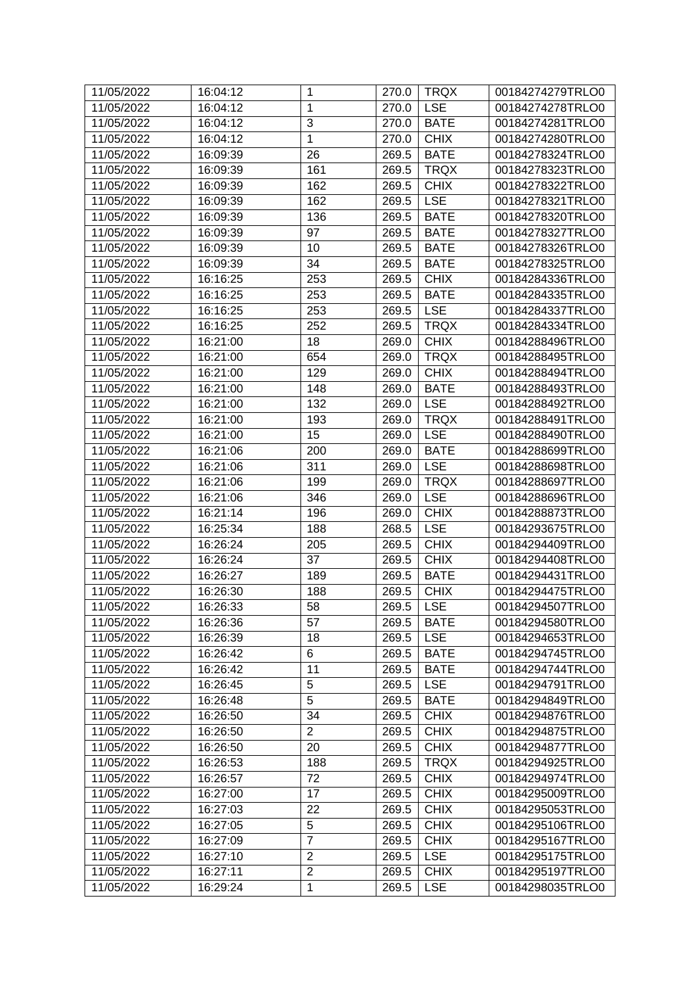| 11/05/2022 | 16:04:12 | $\mathbf{1}$   | 270.0 | <b>TRQX</b> | 00184274279TRLO0 |
|------------|----------|----------------|-------|-------------|------------------|
| 11/05/2022 | 16:04:12 | $\mathbf{1}$   | 270.0 | <b>LSE</b>  | 00184274278TRLO0 |
| 11/05/2022 | 16:04:12 | 3              | 270.0 | <b>BATE</b> | 00184274281TRLO0 |
| 11/05/2022 | 16:04:12 | $\mathbf{1}$   | 270.0 | <b>CHIX</b> | 00184274280TRLO0 |
| 11/05/2022 | 16:09:39 | 26             | 269.5 | <b>BATE</b> | 00184278324TRLO0 |
| 11/05/2022 | 16:09:39 | 161            | 269.5 | <b>TRQX</b> | 00184278323TRLO0 |
| 11/05/2022 | 16:09:39 | 162            | 269.5 | <b>CHIX</b> | 00184278322TRLO0 |
| 11/05/2022 | 16:09:39 | 162            | 269.5 | <b>LSE</b>  | 00184278321TRLO0 |
| 11/05/2022 | 16:09:39 | 136            | 269.5 | <b>BATE</b> | 00184278320TRLO0 |
| 11/05/2022 | 16:09:39 | 97             | 269.5 | <b>BATE</b> | 00184278327TRLO0 |
| 11/05/2022 |          | 10             |       | <b>BATE</b> | 00184278326TRLO0 |
|            | 16:09:39 |                | 269.5 |             |                  |
| 11/05/2022 | 16:09:39 | 34             | 269.5 | <b>BATE</b> | 00184278325TRLO0 |
| 11/05/2022 | 16:16:25 | 253            | 269.5 | <b>CHIX</b> | 00184284336TRLO0 |
| 11/05/2022 | 16:16:25 | 253            | 269.5 | <b>BATE</b> | 00184284335TRLO0 |
| 11/05/2022 | 16:16:25 | 253            | 269.5 | <b>LSE</b>  | 00184284337TRLO0 |
| 11/05/2022 | 16:16:25 | 252            | 269.5 | <b>TRQX</b> | 00184284334TRLO0 |
| 11/05/2022 | 16:21:00 | 18             | 269.0 | <b>CHIX</b> | 00184288496TRLO0 |
| 11/05/2022 | 16:21:00 | 654            | 269.0 | <b>TRQX</b> | 00184288495TRLO0 |
| 11/05/2022 | 16:21:00 | 129            | 269.0 | <b>CHIX</b> | 00184288494TRLO0 |
| 11/05/2022 | 16:21:00 | 148            | 269.0 | <b>BATE</b> | 00184288493TRLO0 |
| 11/05/2022 | 16:21:00 | 132            | 269.0 | <b>LSE</b>  | 00184288492TRLO0 |
| 11/05/2022 | 16:21:00 | 193            | 269.0 | <b>TRQX</b> | 00184288491TRLO0 |
| 11/05/2022 | 16:21:00 | 15             | 269.0 | <b>LSE</b>  | 00184288490TRLO0 |
| 11/05/2022 | 16:21:06 | 200            | 269.0 | <b>BATE</b> | 00184288699TRLO0 |
| 11/05/2022 | 16:21:06 | 311            | 269.0 | <b>LSE</b>  | 00184288698TRLO0 |
| 11/05/2022 | 16:21:06 | 199            | 269.0 | <b>TRQX</b> | 00184288697TRLO0 |
| 11/05/2022 | 16:21:06 | 346            | 269.0 | <b>LSE</b>  | 00184288696TRLO0 |
| 11/05/2022 | 16:21:14 | 196            | 269.0 | <b>CHIX</b> | 00184288873TRLO0 |
| 11/05/2022 | 16:25:34 | 188            | 268.5 | <b>LSE</b>  | 00184293675TRLO0 |
| 11/05/2022 | 16:26:24 | 205            | 269.5 | <b>CHIX</b> | 00184294409TRLO0 |
| 11/05/2022 | 16:26:24 | 37             | 269.5 | <b>CHIX</b> | 00184294408TRLO0 |
| 11/05/2022 | 16:26:27 | 189            | 269.5 | <b>BATE</b> | 00184294431TRLO0 |
| 11/05/2022 | 16:26:30 | 188            | 269.5 | <b>CHIX</b> | 00184294475TRLO0 |
| 11/05/2022 | 16:26:33 | 58             | 269.5 | <b>LSE</b>  | 00184294507TRLO0 |
| 11/05/2022 | 16:26:36 | 57             | 269.5 | <b>BATE</b> | 00184294580TRLO0 |
| 11/05/2022 | 16:26:39 | 18             | 269.5 | <b>LSE</b>  | 00184294653TRLO0 |
| 11/05/2022 | 16:26:42 | 6              | 269.5 | <b>BATE</b> | 00184294745TRLO0 |
| 11/05/2022 | 16:26:42 | 11             | 269.5 | <b>BATE</b> | 00184294744TRLO0 |
| 11/05/2022 | 16:26:45 | 5              | 269.5 | <b>LSE</b>  | 00184294791TRLO0 |
| 11/05/2022 | 16:26:48 | 5              | 269.5 | <b>BATE</b> | 00184294849TRLO0 |
| 11/05/2022 | 16:26:50 | 34             | 269.5 | <b>CHIX</b> | 00184294876TRLO0 |
| 11/05/2022 | 16:26:50 | $\overline{2}$ | 269.5 | <b>CHIX</b> | 00184294875TRLO0 |
| 11/05/2022 | 16:26:50 | 20             | 269.5 | <b>CHIX</b> | 00184294877TRLO0 |
| 11/05/2022 | 16:26:53 | 188            | 269.5 | <b>TRQX</b> | 00184294925TRLO0 |
| 11/05/2022 | 16:26:57 | 72             | 269.5 | <b>CHIX</b> | 00184294974TRLO0 |
| 11/05/2022 | 16:27:00 | 17             | 269.5 | <b>CHIX</b> | 00184295009TRLO0 |
|            |          | 22             |       |             |                  |
| 11/05/2022 | 16:27:03 | 5              | 269.5 | <b>CHIX</b> | 00184295053TRLO0 |
| 11/05/2022 | 16:27:05 | $\overline{7}$ | 269.5 | <b>CHIX</b> | 00184295106TRLO0 |
| 11/05/2022 | 16:27:09 |                | 269.5 | <b>CHIX</b> | 00184295167TRLO0 |
| 11/05/2022 | 16:27:10 | $\overline{2}$ | 269.5 | <b>LSE</b>  | 00184295175TRLO0 |
| 11/05/2022 | 16:27:11 | $\overline{2}$ | 269.5 | <b>CHIX</b> | 00184295197TRLO0 |
| 11/05/2022 | 16:29:24 | $\mathbf{1}$   | 269.5 | <b>LSE</b>  | 00184298035TRLO0 |